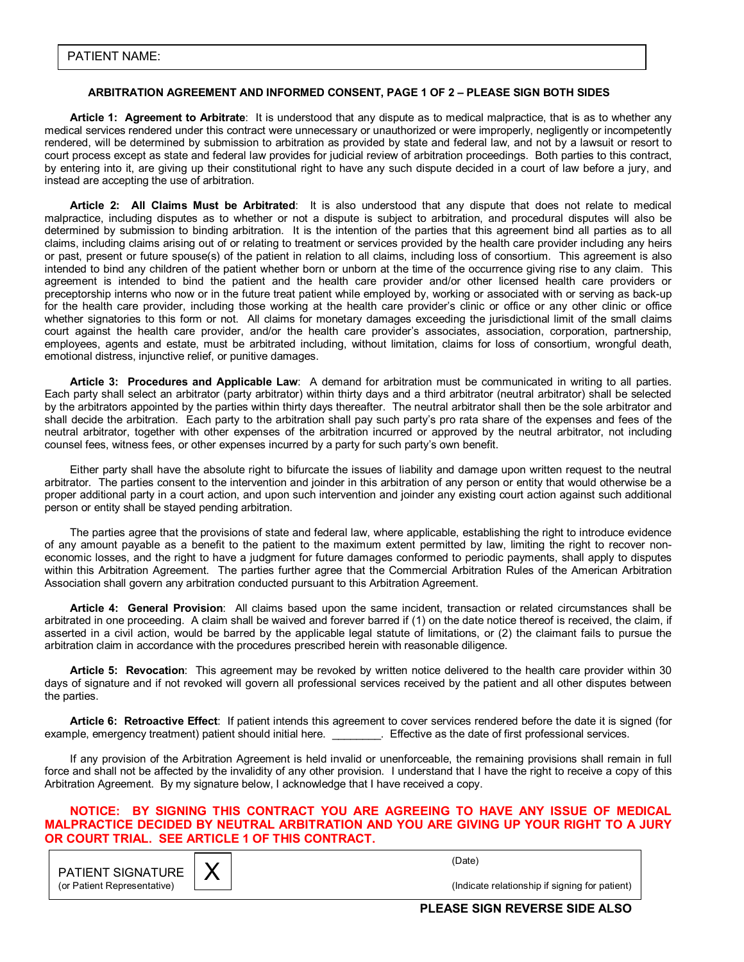## **ARBITRATION AGREEMENT AND INFORMED CONSENT, PAGE 1 OF 2 - PLEASE SIGN BOTH SIDES**

**Article 1: Agreement to Arbitrate**: It is understood that any dispute as to medical malpractice, that is as to whether any medical services rendered under this contract were unnecessary or unauthorized or were improperly, negligently or incompetently rendered, will be determined by submission to arbitration as provided by state and federal law, and not by a lawsuit or resort to court process except as state and federal law provides for judicial review of arbitration proceedings. Both parties to this contract, by entering into it, are giving up their constitutional right to have any such dispute decided in a court of law before a jury, and instead are accepting the use of arbitration.

**Article 2: All Claims Must be Arbitrated**: It is also understood that any dispute that does not relate to medical malpractice, including disputes as to whether or not a dispute is subject to arbitration, and procedural disputes will also be determined by submission to binding arbitration. It is the intention of the parties that this agreement bind all parties as to all claims, including claims arising out of or relating to treatment or services provided by the health care provider including any heirs or past, present or future spouse(s) of the patient in relation to all claims, including loss of consortium. This agreement is also intended to bind any children of the patient whether born or unborn at the time of the occurrence giving rise to any claim. This agreement is intended to bind the patient and the health care provider and/or other licensed health care providers or preceptorship interns who now or in the future treat patient while employed by, working or associated with or serving as back-up for the health care provider, including those working at the health care provider's clinic or office or any other clinic or office whether signatories to this form or not. All claims for monetary damages exceeding the jurisdictional limit of the small claims court against the health care provider, and/or the health care providerís associates, association, corporation, partnership, employees, agents and estate, must be arbitrated including, without limitation, claims for loss of consortium, wrongful death, emotional distress, injunctive relief, or punitive damages.

**Article 3: Procedures and Applicable Law**: A demand for arbitration must be communicated in writing to all parties. Each party shall select an arbitrator (party arbitrator) within thirty days and a third arbitrator (neutral arbitrator) shall be selected by the arbitrators appointed by the parties within thirty days thereafter. The neutral arbitrator shall then be the sole arbitrator and shall decide the arbitration. Each party to the arbitration shall pay such partyís pro rata share of the expenses and fees of the neutral arbitrator, together with other expenses of the arbitration incurred or approved by the neutral arbitrator, not including counsel fees, witness fees, or other expenses incurred by a party for such partyís own benefit.

 Either party shall have the absolute right to bifurcate the issues of liability and damage upon written request to the neutral arbitrator. The parties consent to the intervention and joinder in this arbitration of any person or entity that would otherwise be a proper additional party in a court action, and upon such intervention and joinder any existing court action against such additional person or entity shall be stayed pending arbitration.

 The parties agree that the provisions of state and federal law, where applicable, establishing the right to introduce evidence of any amount payable as a benefit to the patient to the maximum extent permitted by law, limiting the right to recover noneconomic losses, and the right to have a judgment for future damages conformed to periodic payments, shall apply to disputes within this Arbitration Agreement. The parties further agree that the Commercial Arbitration Rules of the American Arbitration Association shall govern any arbitration conducted pursuant to this Arbitration Agreement.

**Article 4: General Provision**: All claims based upon the same incident, transaction or related circumstances shall be arbitrated in one proceeding. A claim shall be waived and forever barred if (1) on the date notice thereof is received, the claim, if asserted in a civil action, would be barred by the applicable legal statute of limitations, or (2) the claimant fails to pursue the arbitration claim in accordance with the procedures prescribed herein with reasonable diligence.

**Article 5: Revocation**: This agreement may be revoked by written notice delivered to the health care provider within 30 days of signature and if not revoked will govern all professional services received by the patient and all other disputes between the parties.

**Article 6: Retroactive Effect**: If patient intends this agreement to cover services rendered before the date it is signed (for example, emergency treatment) patient should initial here. **Effective as the date of first professional services.** 

 If any provision of the Arbitration Agreement is held invalid or unenforceable, the remaining provisions shall remain in full force and shall not be affected by the invalidity of any other provision. I understand that I have the right to receive a copy of this Arbitration Agreement. By my signature below, I acknowledge that I have received a copy.

## **NOTICE: BY SIGNING THIS CONTRACT YOU ARE AGREEING TO HAVE ANY ISSUE OF MEDICAL MALPRACTICE DECIDED BY NEUTRAL ARBITRATION AND YOU ARE GIVING UP YOUR RIGHT TO A JURY OR COURT TRIAL. SEE ARTICLE 1 OF THIS CONTRACT.**

|                                         |  | (Date)  |
|-----------------------------------------|--|---------|
| PATIENT SIGNATURE $\mid \bm{\chi} \mid$ |  |         |
| (or Patient Representative)             |  | (Indica |

(or Patient Representative) **Contract Contract Patient Representative**) (Indicate relationship if signing for patient)

**PLEASE SIGN REVERSE SIDE ALSO**